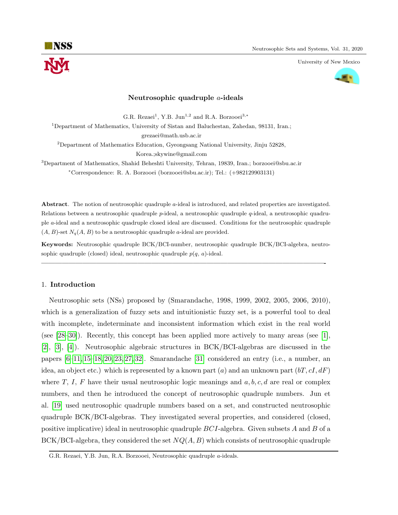University of New Mexico



### Neutrosophic quadruple a-ideals

G.R. Rezaei<sup>1</sup>, Y.B. Jun<sup>1,2</sup> and R.A. Borzooei<sup>3,\*</sup>

<sup>1</sup>Department of Mathematics, University of Sistan and Baluchestan, Zahedan, 98131, Iran.; grezaei@math.usb.ac.ir

 $2$ Department of Mathematics Education, Gyeongsang National University, Jinju 52828, Korea.;skywine@gmail.com

<sup>3</sup>Department of Mathematics, Shahid Beheshti University, Tehran, 19839, Iran.; borzooei@sbu.ac.ir <sup>∗</sup>Correspondence: R. A. Borzooei (borzooei@sbu.ac.ir); Tel.: (+982129903131)

Abstract. The notion of neutrosophic quadruple a-ideal is introduced, and related properties are investigated. Relations between a neutrosophic quadruple p-ideal, a neutrosophic quadruple q-ideal, a neutrosophic quadruple a-ideal and a neutrosophic quadruple closed ideal are discussed. Conditions for the neutrosophic quadruple  $(A, B)$ -set  $N_q(A, B)$  to be a neutrosophic quadruple a-ideal are provided.

Keywords: Neutrosophic quadruple BCK/BCI-number, neutrosophic quadruple BCK/BCI-algebra, neutrosophic quadruple (closed) ideal, neutrosophic quadruple  $p(q, a)$ -ideal.

—————————————————————————————————————————-

## 1. Introduction

Neutrosophic sets (NSs) proposed by (Smarandache, 1998, 1999, 2002, 2005, 2006, 2010), which is a generalization of fuzzy sets and intuitionistic fuzzy set, is a powerful tool to deal with incomplete, indeterminate and inconsistent information which exist in the real world (see [\[28](#page-15-0)[–30\]](#page-15-1)). Recently, this concept has been applied more actively to many areas (see [\[1\]](#page-13-0), [\[2\]](#page-13-1), [\[3\]](#page-13-2), [\[4\]](#page-14-0)). Neutrosophic algebraic structures in BCK/BCI-algebras are discussed in the papers [\[6](#page-14-1)[–11,](#page-14-2) [15](#page-14-3)[–18,](#page-14-4) [20,](#page-14-5) [23,](#page-14-6) [27,](#page-14-7) [32\]](#page-15-2). Smarandache [\[31\]](#page-15-3) considered an entry (i.e., a number, an idea, an object etc.) which is represented by a known part (a) and an unknown part  $(bT, cI, dF)$ where T, I, F have their usual neutrosophic logic meanings and  $a, b, c, d$  are real or complex numbers, and then he introduced the concept of neutrosophic quadruple numbers. Jun et al. [\[19\]](#page-14-8) used neutrosophic quadruple numbers based on a set, and constructed neutrosophic quadruple BCK/BCI-algebras. They investigated several properties, and considered (closed, positive implicative) ideal in neutrosophic quadruple  $BCI$ -algebra. Given subsets A and B of a  $BCK/BCI$ -algebra, they considered the set  $NQ(A, B)$  which consists of neutrosophic quadruple

G.R. Rezaei, Y.B. Jun, R.A. Borzooei, Neutrosophic quadruple a-ideals.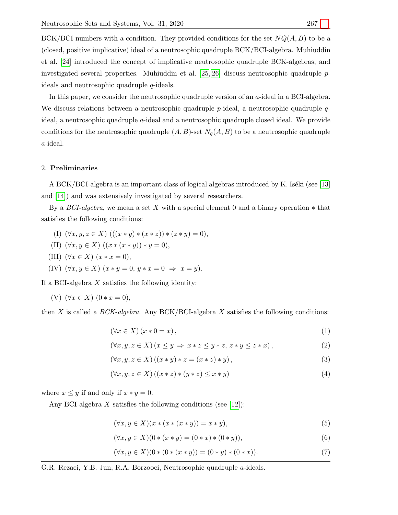BCK/BCI-numbers with a condition. They provided conditions for the set  $NQ(A, B)$  to be a (closed, positive implicative) ideal of a neutrosophic quadruple BCK/BCI-algebra. Muhiuddin et al. [\[24\]](#page-14-9) introduced the concept of implicative neutrosophic quadruple BCK-algebras, and investigated several properties. Muhiuddin et al. [\[25,](#page-14-10) [26\]](#page-14-11) discuss neutrosophic quadruple pideals and neutrosophic quadruple q-ideals.

In this paper, we consider the neutrosophic quadruple version of an a-ideal in a BCI-algebra. We discuss relations between a neutrosophic quadruple  $p$ -ideal, a neutrosophic quadruple  $q$ ideal, a neutrosophic quadruple a-ideal and a neutrosophic quadruple closed ideal. We provide conditions for the neutrosophic quadruple  $(A, B)$ -set  $N_q(A, B)$  to be a neutrosophic quadruple a-ideal.

## 2. Preliminaries

A BCK/BCI-algebra is an important class of logical algebras introduced by K. Iséki (see [\[13\]](#page-14-12) and [\[14\]](#page-14-13)) and was extensively investigated by several researchers.

By a BCI-algebra, we mean a set X with a special element 0 and a binary operation  $*$  that satisfies the following conditions:

- (I)  $(\forall x, y, z \in X)$   $(((x * y) * (x * z)) * (z * y) = 0),$
- (II)  $(\forall x, y \in X) ((x * (x * y)) * y = 0),$
- (III)  $(\forall x \in X)$   $(x * x = 0)$ ,
- (IV)  $(\forall x, y \in X)$   $(x * y = 0, y * x = 0 \Rightarrow x = y)$ .

If a BCI-algebra  $X$  satisfies the following identity:

(V)  $(\forall x \in X)$   $(0 * x = 0)$ ,

then X is called a  $BCK$ -algebra. Any BCK/BCI-algebra X satisfies the following conditions:

<span id="page-1-0"></span>
$$
(\forall x \in X) (x * 0 = x), \tag{1}
$$

$$
(\forall x, y, z \in X) (x \le y \Rightarrow x * z \le y * z, z * y \le z * x),
$$
\n
$$
(2)
$$

$$
(\forall x, y, z \in X) ((x * y) * z = (x * z) * y), \qquad (3)
$$

$$
(\forall x, y, z \in X) ((x * z) * (y * z) \le x * y)
$$
\n
$$
(4)
$$

where  $x \leq y$  if and only if  $x * y = 0$ .

Any BCI-algebra  $X$  satisfies the following conditions (see [\[12\]](#page-14-14)):

$$
(\forall x, y \in X)(x * (x * (x * y)) = x * y), \tag{5}
$$

$$
(\forall x, y \in X)(0 * (x * y) = (0 * x) * (0 * y)),
$$
\n(6)

$$
(\forall x, y \in X)(0 * (0 * (x * y)) = (0 * y) * (0 * x)).
$$
\n(7)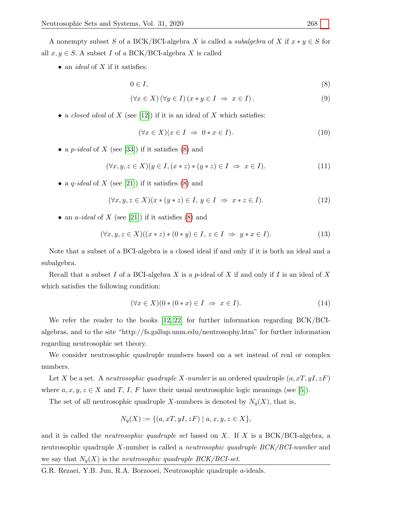A nonempty subset S of a BCK/BCI-algebra X is called a *subalgebra* of X if  $x * y \in S$  for all  $x, y \in S$ . A subset I of a BCK/BCI-algebra X is called

• an *ideal* of  $X$  if it satisfies:

<span id="page-2-0"></span>
$$
0 \in I,\tag{8}
$$

$$
(\forall x \in X) (\forall y \in I) (x * y \in I \Rightarrow x \in I).
$$
\n(9)

• a closed ideal of X (see [\[12\]](#page-14-14)) if it is an ideal of X which satisfies:

<span id="page-2-1"></span>
$$
(\forall x \in X)(x \in I \Rightarrow 0 \ast x \in I). \tag{10}
$$

• a p-ideal of X (see [\[33\]](#page-15-4)) if it satisfies  $(8)$  and

$$
(\forall x, y, z \in X)(y \in I, (x * z) * (y * z) \in I \implies x \in I).
$$
\n
$$
(11)
$$

• a q-ideal of X (see [\[21\]](#page-14-15)) if it satisfies [\(8\)](#page-2-0) and

$$
(\forall x, y, z \in X)(x * (y * z) \in I, y \in I \Rightarrow x * z \in I).
$$
\n
$$
(12)
$$

• an *a-ideal* of X (see [\[21\]](#page-14-15)) if it satisfies [\(8\)](#page-2-0) and

$$
(\forall x, y, z \in X)((x * z) * (0 * y) \in I, z \in I \Rightarrow y * x \in I).
$$
\n
$$
(13)
$$

Note that a subset of a BCI-algebra is a closed ideal if and only if it is both an ideal and a subalgebra.

Recall that a subset I of a BCI-algebra X is a p-ideal of X if and only if I is an ideal of X which satisfies the following condition:

<span id="page-2-2"></span>
$$
(\forall x \in X)(0*(0*x) \in I \implies x \in I). \tag{14}
$$

We refer the reader to the books [\[12,](#page-14-14) [22\]](#page-14-16) for further information regarding BCK/BCIalgebras, and to the site "http://fs.gallup.unm.edu/neutrosophy.htm" for further information regarding neutrosophic set theory.

We consider neutrosophic quadruple numbers based on a set instead of real or complex numbers.

Let X be a set. A neutrosophic quadruple X-number is an ordered quadruple  $(a, xT, yI, zF)$ where  $a, x, y, z \in X$  and T, I, F have their usual neutrosophic logic meanings (see [\[5\]](#page-14-17)).

The set of all neutrosophic quadruple X-numbers is denoted by  $N_q(X)$ , that is,

$$
N_q(X) := \{ (a, xT, yI, zF) \mid a, x, y, z \in X \},\
$$

and it is called the *neutrosophic quadruple set* based on X. If X is a BCK/BCI-algebra, a neutrosophic quadruple X-number is called a neutrosophic quadruple BCK/BCI-number and we say that  $N_q(X)$  is the neutrosophic quadruple BCK/BCI-set.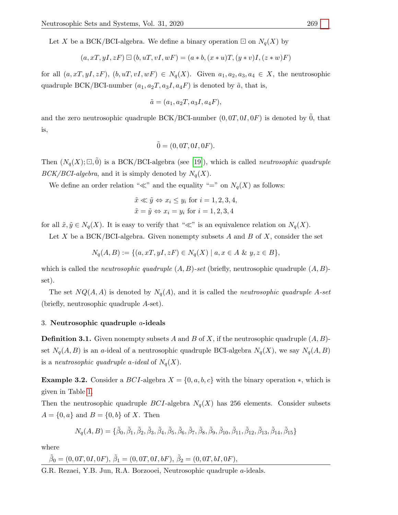Let X be a BCK/BCI-algebra. We define a binary operation  $\Box$  on  $N_q(X)$  by

$$
(a, xT, yI, zF) \boxdot (b, uT, vI, wF) = (a * b, (x * u)T, (y * v)I, (z * w)F)
$$

for all  $(a, xT, yI, zF), (b, uT, vI, wF) \in N_q(X)$ . Given  $a_1, a_2, a_3, a_4 \in X$ , the neutrosophic quadruple BCK/BCI-number  $(a_1, a_2T, a_3I, a_4F)$  is denoted by  $\tilde{a}$ , that is,

$$
\tilde{a} = (a_1, a_2T, a_3I, a_4F),
$$

and the zero neutrosophic quadruple BCK/BCI-number  $(0, 0T, 0I, 0F)$  is denoted by  $\tilde{0}$ , that is,

$$
\tilde{0} = (0, 0T, 0I, 0F).
$$

Then  $(N_q(X); \Box, 0)$  is a BCK/BCI-algebra (see [\[19\]](#page-14-8)), which is called *neutrosophic quadruple*  $BCK/BCI-algebra$ , and it is simply denoted by  $N_q(X)$ .

We define an order relation " $\ll$ " and the equality "=" on  $N_q(X)$  as follows:

$$
\tilde{x} \ll \tilde{y} \Leftrightarrow x_i \le y_i
$$
 for  $i = 1, 2, 3, 4$ ,  
\n $\tilde{x} = \tilde{y} \Leftrightarrow x_i = y_i$  for  $i = 1, 2, 3, 4$ 

for all  $\tilde{x}, \tilde{y} \in N_q(X)$ . It is easy to verify that " $\ll$ " is an equivalence relation on  $N_q(X)$ .

Let X be a BCK/BCI-algebra. Given nonempty subsets  $A$  and  $B$  of  $X$ , consider the set

$$
N_q(A, B) := \{ (a, xT, yI, zF) \in N_q(X) \mid a, x \in A \& y, z \in B \},
$$

which is called the *neutrosophic quadruple*  $(A, B)$ -set (briefly, neutrosophic quadruple  $(A, B)$ set).

The set  $NQ(A, A)$  is denoted by  $N_q(A)$ , and it is called the *neutrosophic quadruple* A-set (briefly, neutrosophic quadruple A-set).

## 3. Neutrosophic quadruple a-ideals

**Definition 3.1.** Given nonempty subsets A and B of X, if the neutrosophic quadruple  $(A, B)$ set  $N_q(A, B)$  is an a-ideal of a neutrosophic quadruple BCI-algebra  $N_q(X)$ , we say  $N_q(A, B)$ is a *neutrosophic quadruple a-ideal* of  $N_q(X)$ .

**Example 3.2.** Consider a BCI-algebra  $X = \{0, a, b, c\}$  with the binary operation  $*$ , which is given in Table [1.](#page-4-0)

Then the neutrosophic quadruple BCI-algebra  $N_q(X)$  has 256 elements. Consider subsets  $A = \{0, a\}$  and  $B = \{0, b\}$  of X. Then

$$
N_q(A, B) = \{ \tilde{\beta}_0, \tilde{\beta}_1, \tilde{\beta}_2, \tilde{\beta}_3, \tilde{\beta}_4, \tilde{\beta}_5, \tilde{\beta}_6, \tilde{\beta}_7, \tilde{\beta}_8, \tilde{\beta}_9, \tilde{\beta}_{10}, \tilde{\beta}_{11}, \tilde{\beta}_{12}, \tilde{\beta}_{13}, \tilde{\beta}_{14}, \tilde{\beta}_{15} \}
$$

where

$$
\tilde{\beta}_0 = (0, 0T, 0I, 0F), \tilde{\beta}_1 = (0, 0T, 0I, bF), \tilde{\beta}_2 = (0, 0T, bI, 0F),
$$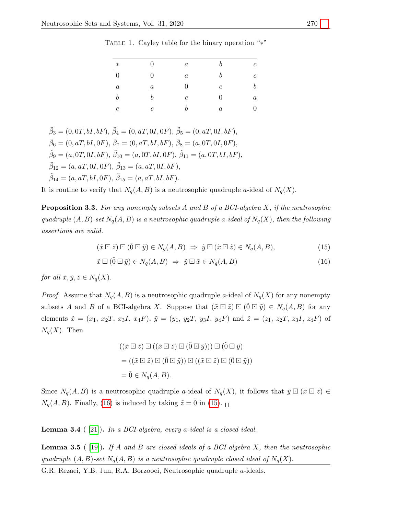$*$  0 a b c  $0$  a b c  $a$  a 0 c b  $b$  b c 0 a  $c$  b a 0

<span id="page-4-0"></span>TABLE 1. Cayley table for the binary operation "\*"

 $\tilde{\beta}_3 = (0, 0T, bI, bF), \tilde{\beta}_4 = (0, aT, 0I, 0F), \tilde{\beta}_5 = (0, aT, 0I, bF),$  $\tilde{\beta}_6 = (0, aT, bI, 0F), \tilde{\beta}_7 = (0, aT, bI, bF), \tilde{\beta}_8 = (a, 0T, 0I, 0F),$  $\tilde{\beta}_9 = (a, 0T, 0I, bF), \tilde{\beta}_{10} = (a, 0T, bI, 0F), \tilde{\beta}_{11} = (a, 0T, bI, bF),$  $\tilde{\beta}_{12} = (a, aT, 0I, 0F), \tilde{\beta}_{13} = (a, aT, 0I, bF),$  $\tilde{\beta}_{14} = (a, aT, bI, 0F), \tilde{\beta}_{15} = (a, aT, bI, bF).$ 

It is routine to verify that  $N_q(A, B)$  is a neutrosophic quadruple a-ideal of  $N_q(X)$ .

**Proposition 3.3.** For any nonempty subsets A and B of a BCI-algebra X, if the neutrosophic quadruple  $(A, B)$ -set  $N_q(A, B)$  is a neutrosophic quadruple a-ideal of  $N_q(X)$ , then the following assertions are valid.

<span id="page-4-2"></span>
$$
(\tilde{x}\boxdot\tilde{z})\boxdot(\tilde{0}\boxdot\tilde{y})\in N_q(A,B)\ \Rightarrow\ \tilde{y}\boxdot(\tilde{x}\boxdot\tilde{z})\in N_q(A,B),\tag{15}
$$

$$
\tilde{x} \boxdot (\tilde{0} \boxdot \tilde{y}) \in N_q(A, B) \implies \tilde{y} \boxdot \tilde{x} \in N_q(A, B) \tag{16}
$$

for all  $\tilde{x}, \tilde{y}, \tilde{z} \in N_q(X)$ .

subsets A and B of a BCI-algebra X. Suppose that  $(\tilde{x} \boxdot \tilde{z}) \boxdot (\tilde{0} \boxdot \tilde{y}) \in N_q(A, B)$  for any *Proof.* Assume that  $N_q(A, B)$  is a neutrosophic quadruple a-ideal of  $N_q(X)$  for any nonempty elements  $\tilde{x} = (x_1, x_2T, x_3I, x_4F), \tilde{y} = (y_1, y_2T, y_3I, y_4F)$  and  $\tilde{z} = (z_1, z_2T, z_3I, z_4F)$  of  $N_q(X)$ . Then

<span id="page-4-1"></span>
$$
((\tilde{x} \boxdot \tilde{z}) \boxdot ((\tilde{x} \boxdot \tilde{z}) \boxdot ((\tilde{0} \boxdot \tilde{y}))) \boxdot ((\tilde{0} \boxdot \tilde{y})
$$

$$
= ((\tilde{x} \boxdot \tilde{z}) \boxdot ((\tilde{0} \boxdot \tilde{y})) \boxdot ((\tilde{x} \boxdot \tilde{z}) \boxdot ((\tilde{0} \boxdot \tilde{y}))
$$

$$
= \tilde{0} \in N_q(A, B).
$$

Since  $N_q(A, B)$  is a neutrosophic quadruple a-ideal of  $N_q(X)$ , it follows that  $\tilde{y} \boxdot (\tilde{x} \boxdot \tilde{z}) \in$  $N_q(A, B)$ . Finally, [\(16\)](#page-4-1) is induced by taking  $\tilde{z} = \tilde{0}$  in [\(15\)](#page-4-2).

<span id="page-4-3"></span>**Lemma 3.4** ( [\[21\]](#page-14-15)). In a BCI-algebra, every a-ideal is a closed ideal.

<span id="page-4-4"></span>**Lemma 3.5** ([\[19\]](#page-14-8)). If A and B are closed ideals of a BCI-algebra X, then the neutrosophic quadruple  $(A, B)$ -set  $N_q(A, B)$  is a neutrosophic quadruple closed ideal of  $N_q(X)$ .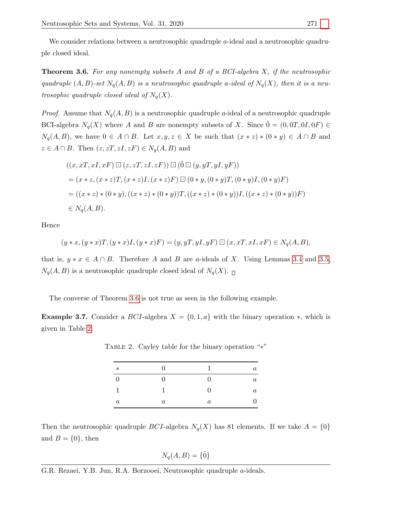We consider relations between a neutrosophic quadruple a-ideal and a neutrosophic quadruple closed ideal.

<span id="page-5-0"></span>**Theorem 3.6.** For any nonempty subsets A and B of a BCI-algebra X, if the neutrosophic quadruple  $(A, B)$ -set  $N_q(A, B)$  is a neutrosophic quadruple a-ideal of  $N_q(X)$ , then it is a neutrosophic quadruple closed ideal of  $N_q(X)$ .

*Proof.* Assume that  $N_q(A, B)$  is a neutrosophic quadruple a-ideal of a neutrosophic quadruple BCI-algebra  $N_q(X)$  where A and B are nonempty subsets of X. Since  $\tilde{0} = (0, 0T, 0I, 0F) \in$  $N_q(A, B)$ , we have  $0 \in A \cap B$ . Let  $x, y, z \in X$  be such that  $(x * z) * (0 * y) \in A \cap B$  and  $z \in A \cap B$ . Then  $(z, zT, zI, zF) \in N_q(A, B)$  and

$$
((x, xT, xI, xF) \boxdot (z, zT, zI, zF)) \boxdot (\tilde{0} \boxdot (y, yT, yI, yF))
$$
  
=  $(x * z, (x * z)T, (x * z)I, (x * z)F) \boxdot (0 * y, (0 * y)T, (0 * y)I, (0 * y)F)$   
=  $((x * z) * (0 * y), ((x * z) * (0 * y))T, ((x * z) * (0 * y))I, ((x * z) * (0 * y))F)$   
 $\in N_q(A, B).$ 

Hence

$$
(y * x, (y * x)T, (y * x)I, (y * x)F) = (y, yT, yI, yF) \boxdot (x, xT, xI, xF) \in N_q(A, B),
$$

that is,  $y * x \in A \cap B$ . Therefore A and B are a-ideals of X. Using Lemmas [3.4](#page-4-3) and [3.5,](#page-4-4)  $N_q(A, B)$  is a neutrosophic quadruple closed ideal of  $N_q(X)$ .

The converse of Theorem [3.6](#page-5-0) is not true as seen in the following example.

<span id="page-5-2"></span><span id="page-5-1"></span>**Example 3.7.** Consider a BCI-algebra  $X = \{0, 1, a\}$  with the binary operation \*, which is given in Table [2.](#page-5-1)

| $\ast$  | $\overline{0}$ | $\overline{1}$ | $\it a$ |
|---------|----------------|----------------|---------|
|         | 0              | $\overline{0}$ | $\it a$ |
|         |                | 0              | $\it a$ |
| $\it a$ | $\it a$        | $\it a$        |         |

TABLE 2. Cayley table for the binary operation "∗"

Then the neutrosophic quadruple *BCI*-algebra  $N_q(X)$  has 81 elements. If we take  $A = \{0\}$ and  $B = \{0\}$ , then

$$
N_q(A, B) = \{\tilde{0}\}\
$$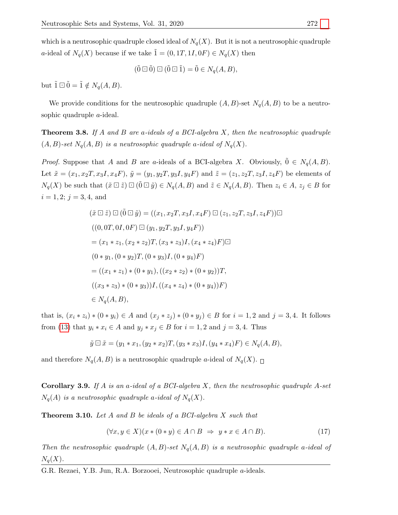which is a neutrosophic quadruple closed ideal of  $N_q(X)$ . But it is not a neutrosophic quadruple a-ideal of  $N_q(X)$  because if we take  $\tilde{1} = (0, 1T, 1I, 0F) \in N_q(X)$  then

$$
(\tilde{0} \boxdot \tilde{0}) \boxdot (\tilde{0} \boxdot \tilde{1}) = \tilde{0} \in N_q(A, B),
$$

but  $\tilde{1} \boxdot \tilde{0} = \tilde{1} \notin N_q(A, B).$ 

We provide conditions for the neutrosophic quadruple  $(A, B)$ -set  $N_q(A, B)$  to be a neutrosophic quadruple *a*-ideal.

**Theorem 3.8.** If A and B are a-ideals of a BCI-algebra X, then the neutrosophic quadruple  $(A, B)$ -set  $N_q(A, B)$  is a neutrosophic quadruple a-ideal of  $N_q(X)$ .

 $N_q(X)$  be such that  $(\tilde{x} \boxdot \tilde{z}) \boxdot (\tilde{0} \boxdot \tilde{y}) \in N_q(A, B)$  and  $\tilde{z} \in N_q(A, B)$ . Then  $z_i \in A$ ,  $z_j \in B$  for *Proof.* Suppose that A and B are a-ideals of a BCI-algebra X. Obviously,  $0 \in N_q(A, B)$ . Let  $\tilde{x} = (x_1, x_2, x_3, x_4, F), \, \tilde{y} = (y_1, y_2, y_3, y_4, F)$  and  $\tilde{z} = (z_1, z_2, z_3, z_4, F)$  be elements of  $i = 1, 2; j = 3, 4$ , and

$$
(\tilde{x} \boxdot \tilde{z}) \boxdot (\tilde{0} \boxdot \tilde{y}) = ((x_1, x_2T, x_3I, x_4F) \boxdot (z_1, z_2T, z_3I, z_4F)) \boxdot
$$
  

$$
((0, 0T, 0I, 0F) \boxdot (y_1, y_2T, y_3I, y_4F))
$$
  

$$
= (x_1 * z_1, (x_2 * z_2)T, (x_3 * z_3)I, (x_4 * z_4)F) \boxdot
$$
  

$$
(0 * y_1, (0 * y_2)T, (0 * y_3)I, (0 * y_4)F)
$$
  

$$
= ((x_1 * z_1) * (0 * y_1), ((x_2 * z_2) * (0 * y_2))T,
$$
  

$$
((x_3 * z_3) * (0 * y_3))I, ((x_4 * z_4) * (0 * y_4))F)
$$
  

$$
\in N_q(A, B),
$$

that is,  $(x_i * z_i) * (0 * y_i) \in A$  and  $(x_j * z_j) * (0 * y_j) \in B$  for  $i = 1, 2$  and  $j = 3, 4$ . It follows from [\(13\)](#page-2-1) that  $y_i * x_i \in A$  and  $y_j * x_j \in B$  for  $i = 1, 2$  and  $j = 3, 4$ . Thus

$$
\tilde{y} \boxdot \tilde{x} = (y_1 * x_1, (y_2 * x_2)T, (y_3 * x_3)I, (y_4 * x_4)F) \in N_q(A, B),
$$

and therefore  $N_q(A, B)$  is a neutrosophic quadruple a-ideal of  $N_q(X)$ .

**Corollary 3.9.** If A is an a-ideal of a BCI-algebra X, then the neutrosophic quadruple A-set  $N_q(A)$  is a neutrosophic quadruple a-ideal of  $N_q(X)$ .

<span id="page-6-1"></span>**Theorem 3.10.** Let  $A$  and  $B$  be ideals of a BCI-algebra  $X$  such that

<span id="page-6-0"></span>
$$
(\forall x, y \in X)(x * (0 * y) \in A \cap B \implies y * x \in A \cap B). \tag{17}
$$

Then the neutrosophic quadruple  $(A, B)$ -set  $N_q(A, B)$  is a neutrosophic quadruple a-ideal of  $N_q(X)$ .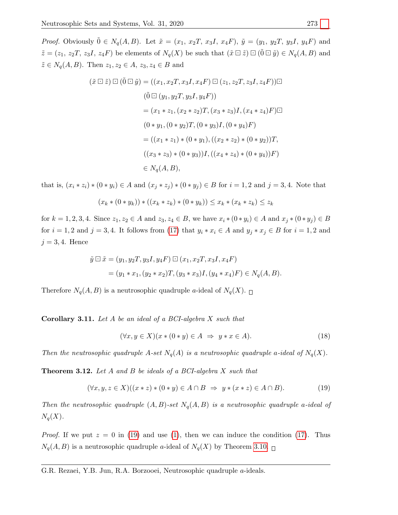$\tilde{z} = (z_1, z_2T, z_3I, z_4F)$  be elements of  $N_q(X)$  be such that  $(\tilde{x} \boxdot \tilde{z}) \boxdot (\tilde{0} \boxdot \tilde{y}) \in N_q(A, B)$  and  $\tilde{z} \in N_q(A, B)$ . Then  $z_1, z_2 \in A$ ,  $z_3, z_4 \in B$  and *Proof.* Obviously  $\tilde{0} \in N_q(A, B)$ . Let  $\tilde{x} = (x_1, x_2T, x_3I, x_4F), \tilde{y} = (y_1, y_2T, y_3I, y_4F)$  and

$$
(\tilde{x} \boxdot \tilde{z}) \boxdot (\tilde{0} \boxdot \tilde{y}) = ((x_1, x_2T, x_3I, x_4F) \boxdot (z_1, z_2T, z_3I, z_4F)) \boxdot
$$
  

$$
(\tilde{0} \boxdot (y_1, y_2T, y_3I, y_4F))
$$
  

$$
= (x_1 * z_1, (x_2 * z_2)T, (x_3 * z_3)I, (x_4 * z_4)F) \boxdot
$$
  

$$
(0 * y_1, (0 * y_2)T, (0 * y_3)I, (0 * y_4)F)
$$
  

$$
= ((x_1 * z_1) * (0 * y_1), ((x_2 * z_2) * (0 * y_2))T,
$$
  

$$
((x_3 * z_3) * (0 * y_3))I, ((x_4 * z_4) * (0 * y_4))F)
$$
  

$$
\in N_q(A, B),
$$

that is,  $(x_i * z_i) * (0 * y_i) \in A$  and  $(x_j * z_j) * (0 * y_j) \in B$  for  $i = 1, 2$  and  $j = 3, 4$ . Note that

$$
(x_k * (0 * y_k)) * ((x_k * z_k) * (0 * y_k)) \le x_k * (x_k * z_k) \le z_k
$$

for  $k = 1, 2, 3, 4$ . Since  $z_1, z_2 \in A$  and  $z_3, z_4 \in B$ , we have  $x_i * (0 * y_i) \in A$  and  $x_j * (0 * y_j) \in B$ for  $i = 1, 2$  and  $j = 3, 4$ . It follows from [\(17\)](#page-6-0) that  $y_i * x_i \in A$  and  $y_j * x_j \in B$  for  $i = 1, 2$  and  $j = 3, 4$ . Hence

$$
\tilde{y} \Box \tilde{x} = (y_1, y_2T, y_3I, y_4F) \Box (x_1, x_2T, x_3I, x_4F)
$$
  
=  $(y_1 * x_1, (y_2 * x_2)T, (y_3 * x_3)I, (y_4 * x_4)F) \in N_q(A, B).$ 

Therefore  $N_q(A, B)$  is a neutrosophic quadruple a-ideal of  $N_q(X)$ .

**Corollary 3.11.** Let  $A$  be an ideal of a BCI-algebra  $X$  such that

<span id="page-7-0"></span>
$$
(\forall x, y \in X)(x * (0 * y) \in A \implies y * x \in A).
$$
\n
$$
(18)
$$

Then the neutrosophic quadruple A-set  $N_q(A)$  is a neutrosophic quadruple a-ideal of  $N_q(X)$ .

Theorem 3.12. Let A and B be ideals of a BCI-algebra X such that

$$
(\forall x, y, z \in X)((x * z) * (0 * y) \in A \cap B \Rightarrow y * (x * z) \in A \cap B).
$$
\n
$$
(19)
$$

Then the neutrosophic quadruple  $(A, B)$ -set  $N_q(A, B)$  is a neutrosophic quadruple a-ideal of  $N_q(X)$ .

*Proof.* If we put  $z = 0$  in [\(19\)](#page-7-0) and use [\(1\)](#page-1-0), then we can induce the condition [\(17\)](#page-6-0). Thus  $N_q(A, B)$  is a neutrosophic quadruple a-ideal of  $N_q(X)$  by Theorem [3.10.](#page-6-1)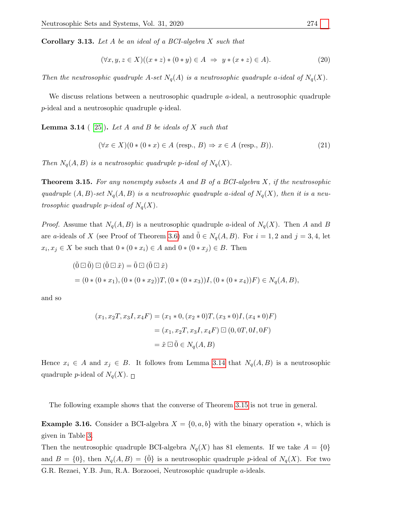**Corollary 3.13.** Let A be an ideal of a BCI-algebra X such that

$$
(\forall x, y, z \in X)((x * z) * (0 * y) \in A \implies y * (x * z) \in A).
$$
\n
$$
(20)
$$

Then the neutrosophic quadruple A-set  $N_q(A)$  is a neutrosophic quadruple a-ideal of  $N_q(X)$ .

We discuss relations between a neutrosophic quadruple  $a$ -ideal, a neutrosophic quadruple  $p$ -ideal and a neutrosophic quadruple  $q$ -ideal.

<span id="page-8-0"></span>**Lemma 3.14** ( [\[25\]](#page-14-10)). Let A and B be ideals of X such that

$$
(\forall x \in X)(0*(0*x) \in A \text{ (resp., } B) \Rightarrow x \in A \text{ (resp., } B)).
$$
\n
$$
(21)
$$

Then  $N_q(A, B)$  is a neutrosophic quadruple p-ideal of  $N_q(X)$ .

<span id="page-8-1"></span>**Theorem 3.15.** For any nonempty subsets  $A$  and  $B$  of a  $BCI$ -algebra  $X$ , if the neutrosophic quadruple  $(A, B)$ -set  $N_q(A, B)$  is a neutrosophic quadruple a-ideal of  $N_q(X)$ , then it is a neutrosophic quadruple p-ideal of  $N_q(X)$ .

*Proof.* Assume that  $N_q(A, B)$  is a neutrosophic quadruple a-ideal of  $N_q(X)$ . Then A and B are a-ideals of X (see Proof of Theorem [3.6\)](#page-5-0) and  $\tilde{0} \in N_q(A, B)$ . For  $i = 1, 2$  and  $j = 3, 4$ , let  $x_i, x_j \in X$  be such that  $0 * (0 * x_i) \in A$  and  $0 * (0 * x_j) \in B$ . Then

$$
(\tilde{0} \boxdot \tilde{0}) \boxdot (\tilde{0} \boxdot \tilde{x}) = \tilde{0} \boxdot (\tilde{0} \boxdot \tilde{x})
$$
  
=  $(0 * (0 * x_1), (0 * (0 * x_2))T, (0 * (0 * x_3))I, (0 * (0 * x_4))F) \in N_q(A, B),$ 

and so

$$
(x_1, x_2T, x_3I, x_4F) = (x_1 * 0, (x_2 * 0)T, (x_3 * 0)I, (x_4 * 0)F)
$$

$$
= (x_1, x_2T, x_3I, x_4F) \boxdot (0, 0T, 0I, 0F)
$$

$$
= \tilde{x} \boxdot \tilde{0} \in N_q(A, B)
$$

Hence  $x_i \in A$  and  $x_j \in B$ . It follows from Lemma [3.14](#page-8-0) that  $N_q(A, B)$  is a neutrosophic quadruple *p*-ideal of  $N_q(X)$ .

The following example shows that the converse of Theorem [3.15](#page-8-1) is not true in general.

**Example 3.16.** Consider a BCI-algebra  $X = \{0, a, b\}$  with the binary operation \*, which is given in Table [3.](#page-9-0)

Then the neutrosophic quadruple BCI-algebra  $N_q(X)$  has 81 elements. If we take  $A = \{0\}$ and  $B = \{0\}$ , then  $N_q(A, B) = \{0\}$  is a neutrosophic quadruple p-ideal of  $N_q(X)$ . For two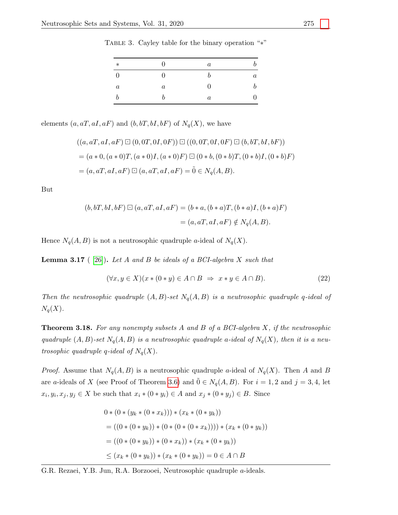| $\ast$           | 0                | $\boldsymbol{a}$ |         |
|------------------|------------------|------------------|---------|
|                  | ∩                |                  | $\it a$ |
| $\boldsymbol{a}$ | $\boldsymbol{a}$ | 0                |         |
|                  | h                | $\boldsymbol{a}$ | U       |

<span id="page-9-0"></span>Table 3. Cayley table for the binary operation "∗"

elements  $(a, aT, aI, aF)$  and  $(b, bT, bI, bF)$  of  $N_q(X)$ , we have

$$
((a, aT, aI, aF) \boxdot (0, 0T, 0I, 0F)) \boxdot ((0, 0T, 0I, 0F) \boxdot (b, bT, bI, bF))
$$
  
=  $(a * 0, (a * 0)T, (a * 0)I, (a * 0)F) \boxdot (0 * b, (0 * b)T, (0 * b)I, (0 * b)F)$   
=  $(a, aT, aI, aF) \boxdot (a, aT, aI, aF) = \tilde{0} \in N_q(A, B).$ 

But

$$
(b, bT, bI, bF) \boxdot (a, aT, aI, aF) = (b * a, (b * a)T, (b * a)I, (b * a)F)
$$

$$
= (a, aT, aI, aF) \notin N_q(A, B).
$$

Hence  $N_q(A, B)$  is not a neutrosophic quadruple a-ideal of  $N_q(X)$ .

<span id="page-9-1"></span>**Lemma 3.17** ( [\[26\]](#page-14-11)). Let A and B be ideals of a BCI-algebra X such that

$$
(\forall x, y \in X)(x * (0 * y) \in A \cap B \implies x * y \in A \cap B). \tag{22}
$$

Then the neutrosophic quadruple  $(A, B)$ -set  $N_q(A, B)$  is a neutrosophic quadruple q-ideal of  $N_q(X)$ .

<span id="page-9-2"></span>**Theorem 3.18.** For any nonempty subsets A and B of a BCI-algebra X, if the neutrosophic quadruple  $(A, B)$ -set  $N_q(A, B)$  is a neutrosophic quadruple a-ideal of  $N_q(X)$ , then it is a neutrosophic quadruple q-ideal of  $N_q(X)$ .

*Proof.* Assume that  $N_q(A, B)$  is a neutrosophic quadruple a-ideal of  $N_q(X)$ . Then A and B are a-ideals of X (see Proof of Theorem [3.6\)](#page-5-0) and  $\tilde{0} \in N_q(A, B)$ . For  $i = 1, 2$  and  $j = 3, 4$ , let  $x_i, y_i, x_j, y_j \in X$  be such that  $x_i * (0 * y_i) \in A$  and  $x_j * (0 * y_j) \in B$ . Since

$$
0 * (0 * (y_k * (0 * x_k))) * (x_k * (0 * y_k))
$$
  
= ((0 \* (0 \* y\_k)) \* (0 \* (0 \* (0 \* x\_k)))) \* (x\_k \* (0 \* y\_k))  
= ((0 \* (0 \* y\_k)) \* (0 \* x\_k)) \* (x\_k \* (0 \* y\_k))  

$$
\leq (x_k * (0 * y_k)) * (x_k * (0 * y_k)) = 0 \in A \cap B
$$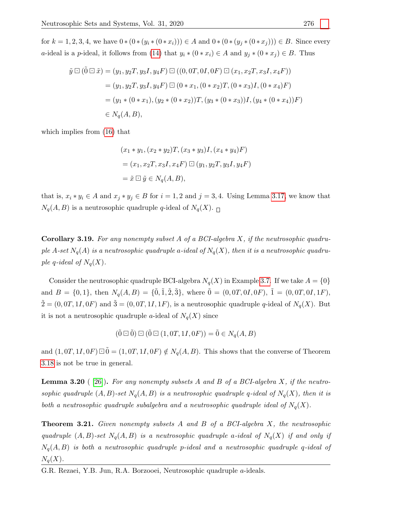for  $k = 1, 2, 3, 4$ , we have  $0 * (0 * (y_i * (0 * x_i))) \in A$  and  $0 * (0 * (y_j * (0 * x_j))) \in B$ . Since every a-ideal is a p-ideal, it follows from [\(14\)](#page-2-2) that  $y_i * (0 * x_i) \in A$  and  $y_j * (0 * x_j) \in B$ . Thus

$$
\tilde{y} \Box (\tilde{0} \Box \tilde{x}) = (y_1, y_2T, y_3I, y_4F) \Box ((0, 0T, 0I, 0F) \Box (x_1, x_2T, x_3I, x_4F))
$$
  
=  $(y_1, y_2T, y_3I, y_4F) \Box (0 * x_1, (0 * x_2)T, (0 * x_3)I, (0 * x_4)F)$   
=  $(y_1 * (0 * x_1), (y_2 * (0 * x_2))T, (y_3 * (0 * x_3))I, (y_4 * (0 * x_4))F)$   
 $\in N_q(A, B),$ 

which implies from [\(16\)](#page-4-1) that

$$
(x_1 * y_1, (x_2 * y_2)T, (x_3 * y_3)I, (x_4 * y_4)F)
$$
  
=  $(x_1, x_2T, x_3I, x_4F) \square (y_1, y_2T, y_3I, y_4F)$   
=  $\tilde{x} \square \tilde{y} \in N_q(A, B),$ 

that is,  $x_i * y_i \in A$  and  $x_j * y_j \in B$  for  $i = 1, 2$  and  $j = 3, 4$ . Using Lemma [3.17,](#page-9-1) we know that  $N_q(A, B)$  is a neutrosophic quadruple q-ideal of  $N_q(X)$ .

**Corollary 3.19.** For any nonempty subset A of a BCI-algebra X, if the neutrosophic quadruple A-set  $N_q(A)$  is a neutrosophic quadruple a-ideal of  $N_q(X)$ , then it is a neutrosophic quadruple q-ideal of  $N_q(X)$ .

Consider the neutrosophic quadruple BCI-algebra  $N_q(X)$  in Example [3.7.](#page-5-2) If we take  $A = \{0\}$ and  $B = \{0, 1\}$ , then  $N_q(A, B) = \{\tilde{0}, \tilde{1}, \tilde{2}, \tilde{3}\}$ , where  $\tilde{0} = (0, 0T, 0I, 0F)$ ,  $\tilde{1} = (0, 0T, 0I, 1F)$ ,  $\tilde{2} = (0, 0T, 1I, 0F)$  and  $\tilde{3} = (0, 0T, 1I, 1F)$ , is a neutrosophic quadruple q-ideal of  $N_q(X)$ . But it is not a neutrosophic quadruple a-ideal of  $N_q(X)$  since

$$
(\vec{0} \boxdot \vec{0}) \boxdot (\vec{0} \boxdot (1, 0T, 1I, 0F)) = \vec{0} \in N_q(A, B)
$$

and  $(1, 0T, 1I, 0F) \square \tilde{0} = (1, 0T, 1I, 0F) \notin N_q(A, B)$ . This shows that the converse of Theorem [3.18](#page-9-2) is not be true in general.

<span id="page-10-0"></span>**Lemma 3.20** ([\[26\]](#page-14-11)). For any nonempty subsets A and B of a BCI-algebra X, if the neutrosophic quadruple  $(A, B)$ -set  $N_q(A, B)$  is a neutrosophic quadruple q-ideal of  $N_q(X)$ , then it is both a neutrosophic quadruple subalgebra and a neutrosophic quadruple ideal of  $N_q(X)$ .

<span id="page-10-1"></span>**Theorem 3.21.** Given nonempty subsets A and B of a BCI-algebra X, the neutrosophic quadruple  $(A, B)$ -set  $N_q(A, B)$  is a neutrosophic quadruple a-ideal of  $N_q(X)$  if and only if  $N_q(A, B)$  is both a neutrosophic quadruple p-ideal and a neutrosophic quadruple q-ideal of  $N_q(X)$ .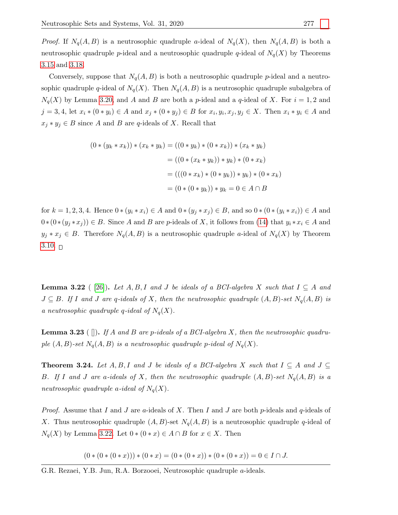*Proof.* If  $N_q(A, B)$  is a neutrosophic quadruple a-ideal of  $N_q(X)$ , then  $N_q(A, B)$  is both a neutrosophic quadruple p-ideal and a neutrosophic quadruple q-ideal of  $N_q(X)$  by Theorems [3.15](#page-8-1) and [3.18.](#page-9-2)

Conversely, suppose that  $N_q(A, B)$  is both a neutrosophic quadruple p-ideal and a neutrosophic quadruple q-ideal of  $N_q(X)$ . Then  $N_q(A, B)$  is a neutrosophic quadruple subalgebra of  $N_q(X)$  by Lemma [3.20,](#page-10-0) and A and B are both a p-ideal and a q-ideal of X. For  $i = 1, 2$  and  $j = 3, 4$ , let  $x_i * (0 * y_i) \in A$  and  $x_j * (0 * y_j) \in B$  for  $x_i, y_i, x_j, y_j \in X$ . Then  $x_i * y_i \in A$  and  $x_j * y_j \in B$  since A and B are q-ideals of X. Recall that

$$
(0 * (y_k * x_k)) * (x_k * y_k) = ((0 * y_k) * (0 * x_k)) * (x_k * y_k)
$$
  

$$
= ((0 * (x_k * y_k)) * y_k) * (0 * x_k)
$$
  

$$
= (((0 * x_k) * (0 * y_k)) * y_k) * (0 * x_k)
$$
  

$$
= (0 * (0 * y_k)) * y_k = 0 \in A \cap B
$$

for  $k = 1, 2, 3, 4$ . Hence  $0 * (y_i * x_i) \in A$  and  $0 * (y_j * x_j) \in B$ , and so  $0 * (0 * (y_i * x_i)) \in A$  and  $0*(0*(y_j*x_j))\in B$ . Since A and B are p-ideals of X, it follows from [\(14\)](#page-2-2) that  $y_i*x_i\in A$  and  $y_j * x_j \in B$ . Therefore  $N_q(A, B)$  is a neutrosophic quadruple a-ideal of  $N_q(X)$  by Theorem [3.10.](#page-6-1)  $\Box$ 

<span id="page-11-0"></span>**Lemma 3.22** ( [\[26\]](#page-14-11)). Let A, B, I and J be ideals of a BCI-algebra X such that  $I \subseteq A$  and  $J \subseteq B$ . If I and J are q-ideals of X, then the neutrosophic quadruple  $(A, B)$ -set  $N_q(A, B)$  is a neutrosophic quadruple q-ideal of  $N_q(X)$ .

<span id="page-11-1"></span>**Lemma 3.23** ( $\Box$ ). If A and B are p-ideals of a BCI-algebra X, then the neutrosophic quadruple  $(A, B)$ -set  $N_q(A, B)$  is a neutrosophic quadruple p-ideal of  $N_q(X)$ .

<span id="page-11-2"></span>**Theorem 3.24.** Let  $A, B, I$  and J be ideals of a BCI-algebra X such that  $I \subseteq A$  and  $J \subseteq$ B. If I and J are a-ideals of X, then the neutrosophic quadruple  $(A, B)$ -set  $N_q(A, B)$  is a neutrosophic quadruple a-ideal of  $N_q(X)$ .

*Proof.* Assume that I and J are a-ideals of X. Then I and J are both p-ideals and q-ideals of X. Thus neutrosophic quadruple  $(A, B)$ -set  $N_q(A, B)$  is a neutrosophic quadruple q-ideal of  $N_q(X)$  by Lemma [3.22.](#page-11-0) Let  $0 * (0 * x) \in A \cap B$  for  $x \in X$ . Then

 $(0 * (0 * (0 * x))) * (0 * x) = (0 * (0 * x)) * (0 * (0 * x)) = 0 \in I \cap J.$ 

G.R. Rezaei, Y.B. Jun, R.A. Borzooei, Neutrosophic quadruple a-ideals.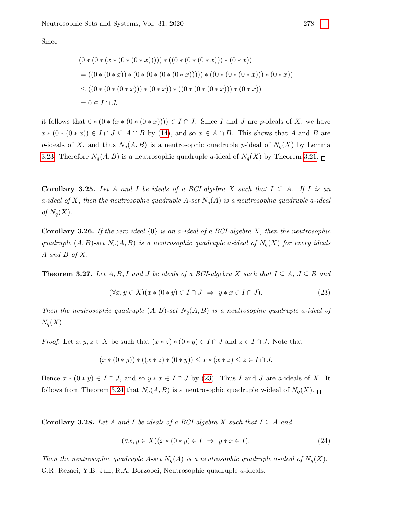Since

$$
(0*(0*(x*(0*(0*x)))))*((0*(0*(0*x)))*(0*x)) = ((0*(0*x)*(0*(0*(0*(0*x)))))*((0*(0*(0*x)))*(0*x)) \le ((0*(0*(0*x)))*(0*x)*(0*(0*(0*x))*(0*x))*(0*x)) = 0 \in I \cap J,
$$

it follows that  $0 * (0 * (x * (0 * (x)))) \in I \cap J$ . Since I and J are p-ideals of X, we have  $x * (0 * (0 * x)) \in I \cap J \subseteq A \cap B$  by [\(14\)](#page-2-2), and so  $x \in A \cap B$ . This shows that A and B are p-ideals of X, and thus  $N_q(A, B)$  is a neutrosophic quadruple p-ideal of  $N_q(X)$  by Lemma [3.23.](#page-11-1) Therefore  $N_q(A, B)$  is a neutrosophic quadruple a-ideal of  $N_q(X)$  by Theorem [3.21.](#page-10-1)  $\Box$ 

**Corollary 3.25.** Let A and I be ideals of a BCI-algebra X such that  $I \subseteq A$ . If I is an a-ideal of X, then the neutrosophic quadruple A-set  $N_q(A)$  is a neutrosophic quadruple a-ideal of  $N_q(X)$ .

**Corollary 3.26.** If the zero ideal  $\{0\}$  is an a-ideal of a BCI-algebra X, then the neutrosophic quadruple  $(A, B)$ -set  $N_q(A, B)$  is a neutrosophic quadruple a-ideal of  $N_q(X)$  for every ideals A and B of  $X$ .

<span id="page-12-1"></span>**Theorem 3.27.** Let  $A, B, I$  and J be ideals of a BCI-algebra X such that  $I \subseteq A, J \subseteq B$  and

<span id="page-12-0"></span>
$$
(\forall x, y \in X)(x * (0 * y) \in I \cap J \Rightarrow y * x \in I \cap J).
$$
\n
$$
(23)
$$

Then the neutrosophic quadruple  $(A, B)$ -set  $N_q(A, B)$  is a neutrosophic quadruple a-ideal of  $N_q(X)$ .

*Proof.* Let  $x, y, z \in X$  be such that  $(x * z) * (0 * y) \in I \cap J$  and  $z \in I \cap J$ . Note that

$$
(x * (0 * y)) * ((x * z) * (0 * y)) \le x * (x * z) \le z \in I \cap J.
$$

Hence  $x * (0 * y) \in I \cap J$ , and so  $y * x \in I \cap J$  by [\(23\)](#page-12-0). Thus I and J are a-ideals of X. It follows from Theorem [3.24](#page-11-2) that  $N_q(A, B)$  is a neutrosophic quadruple a-ideal of  $N_q(X)$ .

**Corollary 3.28.** Let A and I be ideals of a BCI-algebra X such that  $I \subseteq A$  and

$$
(\forall x, y \in X)(x * (0 * y) \in I \Rightarrow y * x \in I).
$$
\n
$$
(24)
$$

Then the neutrosophic quadruple A-set  $N_q(A)$  is a neutrosophic quadruple a-ideal of  $N_q(X)$ .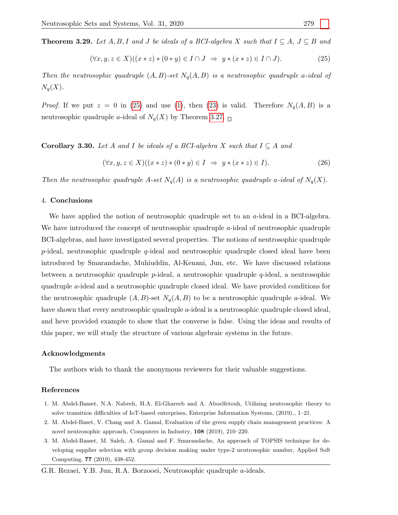**Theorem 3.29.** Let  $A, B, I$  and J be ideals of a BCI-algebra X such that  $I \subseteq A, J \subseteq B$  and

<span id="page-13-3"></span>
$$
(\forall x, y, z \in X)((x * z) * (0 * y) \in I \cap J \implies y * (x * z) \in I \cap J).
$$
\n
$$
(25)
$$

Then the neutrosophic quadruple  $(A, B)$ -set  $N_q(A, B)$  is a neutrosophic quadruple a-ideal of  $N_q(X)$ .

*Proof.* If we put  $z = 0$  in [\(25\)](#page-13-3) and use [\(1\)](#page-1-0), then [\(23\)](#page-12-0) is valid. Therefore  $N_q(A, B)$  is a neutrosophic quadruple a-ideal of  $N_q(X)$  by Theorem [3.27.](#page-12-1)  $\Box$ 

**Corollary 3.30.** Let A and I be ideals of a BCI-algebra X such that  $I \subseteq A$  and

$$
(\forall x, y, z \in X)((x * z) * (0 * y) \in I \implies y * (x * z) \in I).
$$
\n(26)

Then the neutrosophic quadruple A-set  $N_q(A)$  is a neutrosophic quadruple a-ideal of  $N_q(X)$ .

# 4. Conclusions

We have applied the notion of neutrosophic quadruple set to an *a*-ideal in a BCI-algebra. We have introduced the concept of neutrosophic quadruple a-ideal of neutrosophic quadruple BCI-algebras, and have investigated several properties. The notions of neutrosophic quadruple  $p$ -ideal, neutrosophic quadruple  $q$ -ideal and neutrosophic quadruple closed ideal have been introduced by Smarandache, Muhiuddin, Al-Kenani, Jun, etc. We have discussed relations between a neutrosophic quadruple p-ideal, a neutrosophic quadruple q-ideal, a neutrosophic quadruple a-ideal and a neutrosophic quadruple closed ideal. We have provided conditions for the neutrosophic quadruple  $(A, B)$ -set  $N_q(A, B)$  to be a neutrosophic quadruple a-ideal. We have shown that every neutrosophic quadruple a-ideal is a neutrosophic quadruple closed ideal, and heve provided example to show that the converse is false. Using the ideas and results of this paper, we will study the structure of various algebraic systems in the future.

### Acknowledgments

The authors wish to thank the anonymous reviewers for their valuable suggestions.

# References

- <span id="page-13-0"></span>1. M. Abdel-Basset, N.A. Nabeeh, H.A. El-Ghareeb and A. Aboelfetouh, Utilising neutrosophic theory to solve transition difficulties of IoT-based enterprises, Enterprise Information Systems, (2019)., 1–21.
- <span id="page-13-1"></span>2. M. Abdel-Baset, V. Chang and A. Gamal, Evaluation of the green supply chain management practices: A novel neutrosophic approach, Computers in Industry, 108 (2019), 210–220.
- <span id="page-13-2"></span>3. M. Abdel-Basset, M. Saleh, A. Gamal and F. Smarandache, An approach of TOPSIS technique for developing supplier selection with group decision making under type-2 neutrosophic number, Applied Soft Computing, 77 (2019), 438-452.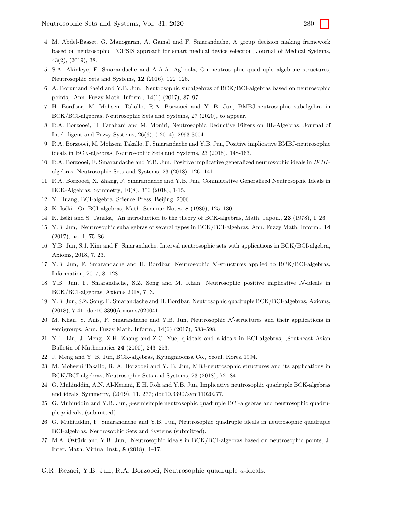- <span id="page-14-0"></span>4. M. Abdel-Basset, G. Manogaran, A. Gamal and F. Smarandache, A group decision making framework based on neutrosophic TOPSIS approach for smart medical device selection, Journal of Medical Systems, 43(2), (2019), 38.
- <span id="page-14-17"></span>5. S.A. Akinleye, F. Smarandache and A.A.A. Agboola, On neutrosophic quadruple algebraic structures, Neutrosophic Sets and Systems, 12 (2016), 122–126.
- <span id="page-14-1"></span>6. A. Borumand Saeid and Y.B. Jun, Neutrosophic subalgebras of BCK/BCI-algebras based on neutrosophic points, Ann. Fuzzy Math. Inform., 14(1) (2017), 87–97.
- 7. H. Bordbar, M. Mohseni Takallo, R.A. Borzooei and Y. B. Jun, BMBJ-neutrosophic subalgebra in BCK/BCI-algebras, Neutrosophic Sets and Systems, 27 (2020), to appear.
- 8. R.A. Borzooei, H. Farahani and M. Moniri, Neutrosophic Deductive Filters on BL-Algebras, Journal of Intel- ligent and Fuzzy Systems, 26(6), ( 2014), 2993-3004.
- 9. R.A. Borzooei, M. Mohseni Takallo, F. Smarandache nad Y.B. Jun, Positive implicative BMBJ-neutrosophic ideals in BCK-algebras, Neutrosophic Sets and Systems, 23 (2018), 148-163.
- 10. R.A. Borzooei, F. Smarandache and Y.B. Jun, Positive implicative generalized neutrosophic ideals in BCKalgebras, Neutrosophic Sets and Systems, 23 (2018), 126 -141.
- <span id="page-14-2"></span>11. R.A. Borzooei, X. Zhang, F. Smarandache and Y.B. Jun, Commutative Generalized Neutrosophic Ideals in BCK-Algebras, Symmetry, 10(8), 350 (2018), 1-15.
- <span id="page-14-14"></span>12. Y. Huang, BCI-algebra, Science Press, Beijing, 2006.
- <span id="page-14-12"></span>13. K. Iséki, On BCI-algebras, Math. Seminar Notes, 8 (1980), 125–130.
- <span id="page-14-13"></span>14. K. Iséki and S. Tanaka, An introduction to the theory of BCK-algebras, Math. Japon., 23 (1978), 1–26.
- <span id="page-14-3"></span>15. Y.B. Jun, Neutrosophic subalgebras of several types in BCK/BCI-algebras, Ann. Fuzzy Math. Inform., 14 (2017), no. 1, 75–86.
- 16. Y.B. Jun, S.J. Kim and F. Smarandache, Interval neutrosophic sets with applications in BCK/BCI-algebra, Axioms, 2018, 7, 23.
- 17. Y.B. Jun, F. Smarandache and H. Bordbar, Neutrosophic N-structures applied to BCK/BCI-algebras, Information, 2017, 8, 128.
- <span id="page-14-4"></span>18. Y.B. Jun, F. Smarandache, S.Z. Song and M. Khan, Neutrosophic positive implicative N -ideals in BCK/BCI-algebras, Axioms 2018, 7, 3.
- <span id="page-14-8"></span>19. Y.B. Jun, S.Z. Song, F. Smarandache and H. Bordbar, Neutrosophic quadruple BCK/BCI-algebras, Axioms, (2018), 7-41; doi:10.3390/axioms7020041
- <span id="page-14-5"></span>20. M. Khan, S. Anis, F. Smarandache and Y.B. Jun, Neutrosophic N -structures and their applications in semigroups, Ann. Fuzzy Math. Inform., 14(6) (2017), 583–598.
- <span id="page-14-15"></span>21. Y.L. Liu, J. Meng, X.H. Zhang and Z.C. Yue, q-ideals and a-ideals in BCI-algebras, ,Southeast Asian Bulletin of Mathematics 24 (2000), 243–253.
- <span id="page-14-16"></span>22. J. Meng and Y. B. Jun, BCK-algebras, Kyungmoonsa Co., Seoul, Korea 1994.
- <span id="page-14-6"></span>23. M. Mohseni Takallo, R. A. Borzooei and Y. B. Jun, MBJ-neutrosophic structures and its applications in BCK/BCI-algebras, Neutrosophic Sets and Systems, 23 (2018), 72- 84.
- <span id="page-14-9"></span>24. G. Muhiuddin, A.N. Al-Kenani, E.H. Roh and Y.B. Jun, Implicative neutrosophic quadruple BCK-algebras and ideals, Symmetry, (2019), 11, 277; doi:10.3390/sym11020277.
- <span id="page-14-10"></span>25. G. Muhiuddin and Y.B. Jun, p-semisimple neutrosophic quadruple BCI-algebras and neutrosophic quadruple p-ideals, (submitted).
- <span id="page-14-11"></span>26. G. Muhiuddin, F. Smarandache and Y.B. Jun, Neutrosophic quadruple ideals in neutrosophic quadruple BCI-algebras, Neutrosophic Sets and Systems (submitted).
- <span id="page-14-7"></span>27. M.A. Oztürk and Y.B. Jun, Neutrosophic ideals in BCK/BCI-algebras based on neutrosophic points, J. Inter. Math. Virtual Inst., 8 (2018), 1–17.
- G.R. Rezaei, Y.B. Jun, R.A. Borzooei, Neutrosophic quadruple a-ideals.